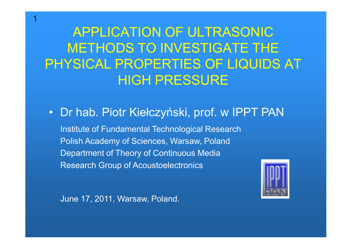APPLICATION OF ULTRASONIC METHODS TO INVESTIGATE THE PHYSICAL PROPERTIES OF LIQUIDS AT HIGH PRESSURE

• Dr hab. Piotr Kiełczyński, prof. w IPPT PAN

 Institute of Fundamental Technological Research Polish Academy of Sciences, Warsaw, Poland Department of Theory of Continuous Media Research Group of Acoustoelectronics



June 17, 2011, Warsaw, Poland.

1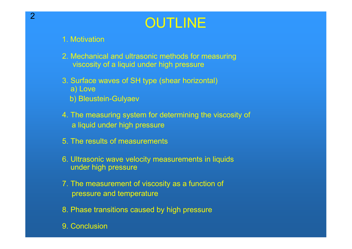# **OUTLINE**

#### 1. Motivation

- 2. Mechanical and ultrasonic methods for measuringviscosity of a liquid under high pressure
- 3. Surface waves of SH type (shear horizontal)a) Love
	- b) Bleustein-Gulyaev
- 4. The measuring system for determining the viscosity ofa liquid under high pressure
- 5. The results of measurements
- 6. Ultrasonic wave velocity measurements in liquidsunder high pressure
- 7. The measurement of viscosity as a function of pressure and temperature
- 8. Phase transitions caused by high pressure
- 9. Conclusion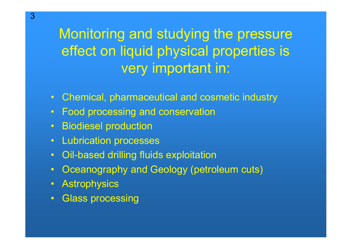Monitoring and studying the pressure effect on liquid physical properties is very important in:

- Chemical, pharmaceutical and cosmetic industry
- Food processing and conservation
- Biodiesel production
- Lubrication processes
- Oil-based drilling fluids exploitation
- Oceanography and Geology (petroleum cuts)
- Astrophysics
- Glass processing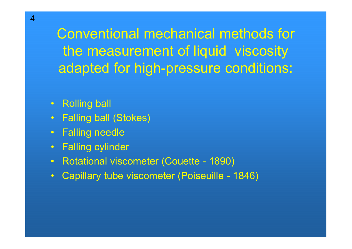Conventional mechanical methods for the measurement of liquid viscosity adapted for high-pressure conditions:

- Rolling ball
- Falling ball (Stokes)
- Falling needle
- Falling cylinder
- Rotational viscometer (Couette 1890)
- Capillary tube viscometer (Poiseuille 1846)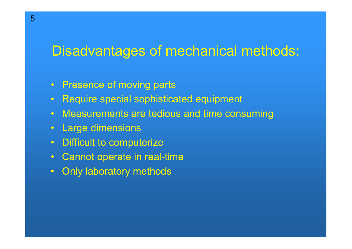## Disadvantages of mechanical methods:

- Presence of moving parts
- Require special sophisticated equipment
- Measurements are tedious and time consuming
- Large dimensions
- Difficult to computerize
- Cannot operate in real-time
- Only laboratory methods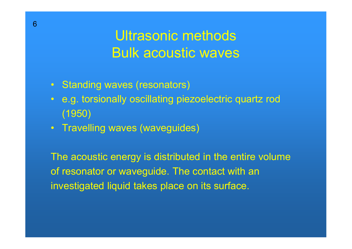## Ultrasonic methods Bulk acoustic waves

- Standing waves (resonators)
- e.g. torsionally oscillating piezoelectric quartz rod (1950)
- Travelling waves (waveguides)

The acoustic energy is distributed in the entire volume of resonator or waveguide. The contact with aninvestigated liquid takes place on its surface.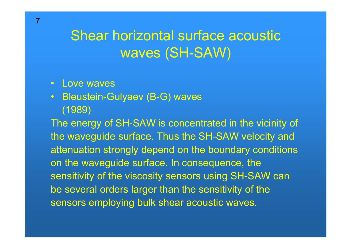## Shear horizontal surface acoustic waves (SH-SAW)

- Love waves
- Bleustein-Gulyaev (B-G) waves (1989)

The energy of SH-SAW is concentrated in the vicinity ofthe waveguide surface. Thus the SH-SAW velocity and attenuation strongly depend on the boundary conditions on the waveguide surface. In consequence, the sensitivity of the viscosity sensors using SH-SAW can be several orders larger than the sensitivity of the sensors employing bulk shear acoustic waves.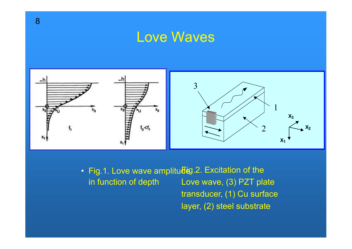#### Love Waves



• Fig.1. Love wave amplitu $\overline{\bf 6}$ ig.2. Excitation of the in function of depthLove wave, (3) PZT plate transducer, (1) Cu surface

layer, (2) steel substrate

8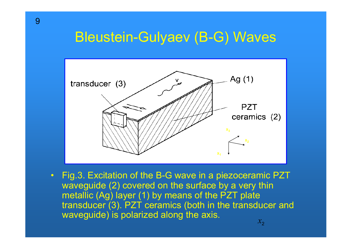### Bleustein-Gulyaev (B-G) Waves



• Fig.3. Excitation of the B-G wave in a piezoceramic PZT<br>wevesuide (2) equated an the surface by a very thin waveguide (2) covered on the surface by a very thin metallic (Ag) layer (1) by means of the PZT plate transducer (3). PZT ceramics (both in the transducer and waveguide) is polarized along the axis.  $\mathcal{X}_{\mathcal{D}}$ 

9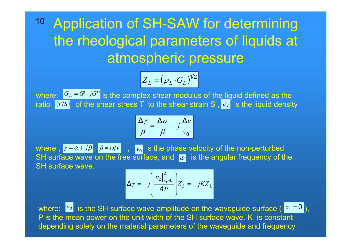<sup>10</sup> Application of SH-SAW for determining the rheological parameters of liquids at atmospheric pressure

$$
Z_L = (\rho_L \cdot G_L)^{1/2}
$$

where:  $|G_L = G' + jG''|$  is the complex shear modulus of the liquid defined as the ratio  $[\Gamma/S]$  of the shear stress T to the shear strain S ,  $\rho_L$  is the liquid density +

$$
\frac{\Delta \gamma}{\beta} = \frac{\Delta \alpha}{\beta} - j \frac{\Delta \nu}{\nu_0}
$$

where ,  $\gamma = \alpha + j\beta$  ,  $\beta = \omega/\nu$  ,  $|v_0|$  is the phase velocity of the non-perturbed SH surface wave on the free surface, and  $\omega$  is the angular frequency of the SH surface wave. $=\alpha+j\beta$ ,  $\beta = \omega/v$ ,  $v_0$ the contract of the contract of the contract of

$$
\Delta \gamma = -j \left( \frac{|v_2|_{x_1=0}^2}{4P} \right) Z_L = -jK Z_L
$$

where:  $\begin{bmatrix} v_2 \end{bmatrix}$  is the SH surface wave amplitude on the waveguide surface (  $x_1 = 0$  ), P is the mean power on the unit width of the SH surface wave. K is constant depending solely on the material parameters of the waveguide and frequency $v_2$  is the SH surface wave amplitude on the waveguide surface ( $x_1 = 0$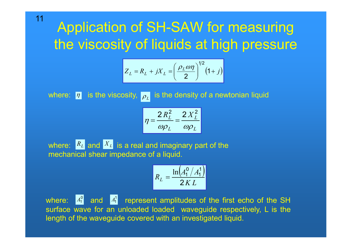## Application of SH-SAW for measuring the viscosity of liquids at high pressure

$$
Z_L = R_L + jX_L = \left(\frac{\rho_L \omega \eta}{2}\right)^{1/2} (1+j)
$$

where:  $|\eta|$  is the viscosity,  $|\rho_L|$  is the density of a newtonian liquid

$$
\eta = \frac{2 R_L^2}{\omega \rho_L} = \frac{2 X_L^2}{\omega \rho_L}
$$

where:  $\int_{0}^{R_{L}}$  and  $\int_{0}^{X_{L}}$  is a real and imaginary part of the mechanical shear impedance of a liquid.

$$
R_L = \frac{\ln\left(A_1^0/A_1^1\right)}{2KL}
$$

where:  $A_1^0$  and  $A_1^1$  represent amplitudes of the first echo of the SH surface wave for an unloaded loaded waveguide respectively, L is the length of the waveguide covered with an investigated liquid.

$$
11
$$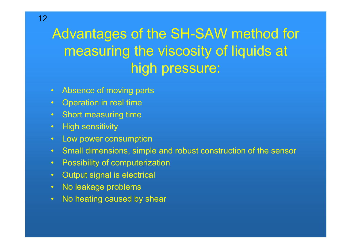# Advantages of the SH-SAW method for measuring the viscosity of liquids at high pressure:

- Absence of moving parts
- Operation in real time
- Short measuring time
- High sensitivity
- Low power consumption
- Small dimensions, simple and robust construction of the sensor
- Possibility of computerization
- Output signal is electrical
- No leakage problems
- •No heating caused by shear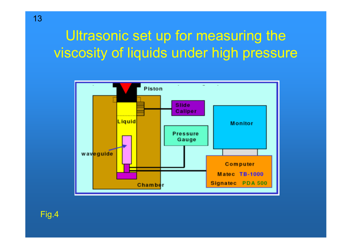## Ultrasonic set up for measuring the viscosity of liquids under high pressure



Fig.4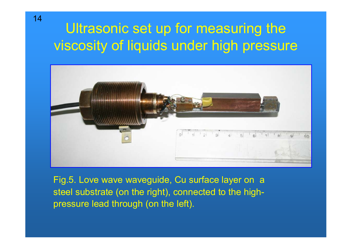## Ultrasonic set up for measuring the viscosity of liquids under high pressure



Fig.5. Love wave waveguide, Cu surface layer on a steel substrate (on the right), connected to the highpressure lead through (on the left).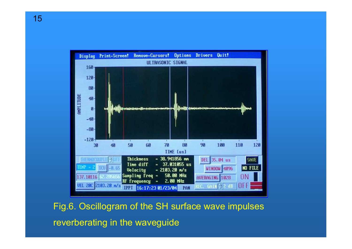

Fig.6. Oscillogram of the SH surface wave impulses reverberating in the waveguide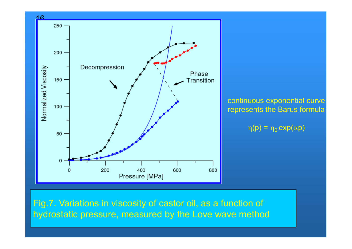

Fig.7. Variations in viscosity of castor oil, as a function of hydrostatic pressure, measured by the Love wave method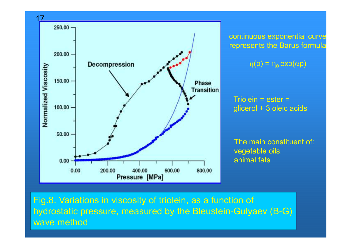

continuous exponential curverepresents the Barus formula

 $\eta(p) = \eta_0 \exp(\alpha p)$ 

Triolein = ester = glicerol + 3 oleic acids

The main constituent of: vegetable oils,animal fats

Fig.8. Variations in viscosity of triolein, as a function of hydrostatic pressure, measured by the Bleustein-Gulyaev (B-G) wave method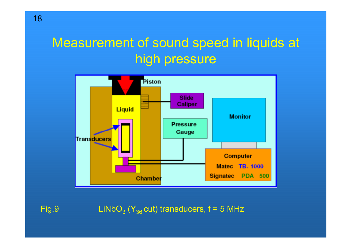## Measurement of sound speed in liquids at high pressure



Fig.9  $\qquad \qquad \textsf{LiNbO}_3 \left( \textsf{Y}_{36} \, \textsf{cut} \right) \, \textsf{transducers, f = 5 MHz}$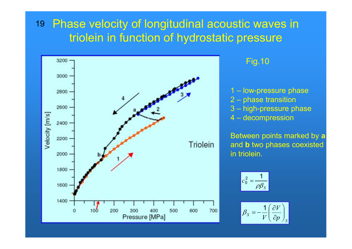#### 19 Phase velocity of longitudinal acoustic waves in triolein in function of hydrostatic pressure

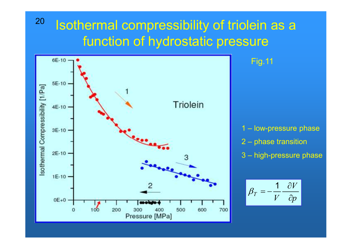## Isothermal compressibility of triolein as a function of hydrostatic pressure



20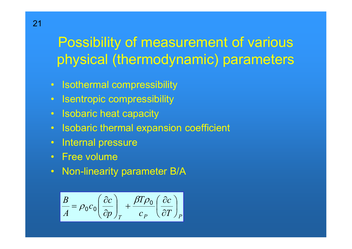## Possibility of measurement of various physical (thermodynamic) parameters

- Isothermal compressibility
- Isentropic compressibility
- Isobaric heat capacity
- Isobaric thermal expansion coefficient
- Internal pressure
- Free volume
- Non-linearity parameter B/A

$$
\frac{B}{A} = \rho_0 c_0 \left(\frac{\partial c}{\partial p}\right)_T + \frac{\beta T \rho_0}{c_P} \left(\frac{\partial c}{\partial T}\right)_P
$$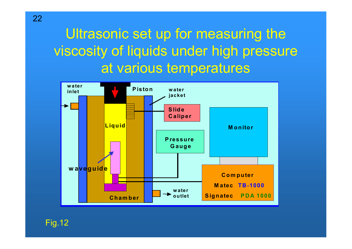## Ultrasonic set up for measuring the viscosity of liquids under high pressureat various temperatures



22

Fig.12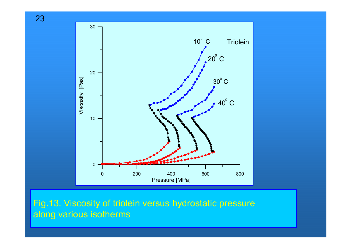



Fig.13. Viscosity of triolein versus hydrostatic pressure along various isotherms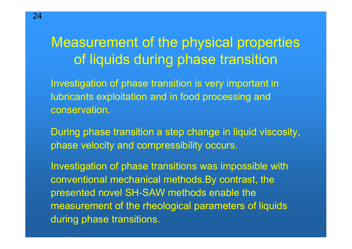## Measurement of the physical properties of liquids during phase transition

Investigation of phase transition is very important in lubricants exploitation and in food processing andconservation.

During phase transition a step change in liquid viscosity,phase velocity and compressibility occurs.

Investigation of phase transitions was impossible withconventional mechanical methods.By contrast, thepresented novel SH-SAW methods enable the measurement of the rheological parameters of liquidsduring phase transitions.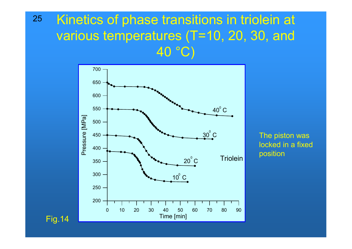#### Kinetics of phase transitions in triolein at various temperatures (T=10, 20, 30, and 40 °C) 25



The piston was locked in a fixedposition

Fig.14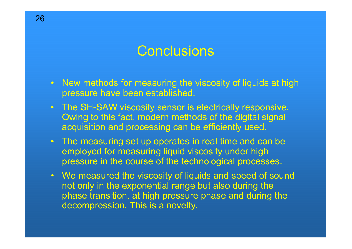### **Conclusions**

- New methods for measuring the viscosity of liquids at high research hours how been established pressure have been established.
- The SH-SAW viscosity sensor is electrically responsive.<br>Curing to this feet, modern methods of the digital signal Owing to this fact, modern methods of the digital signal acquisition and processing can be efficiently used.
- The measuring set up operates in real time and can be<br>employed for measuring liquid viscosity under bigh employed for measuring liquid viscosity under high pressure in the course of the technological processes.
- We measured the viscosity of liquids and speed of sound<br>not only in the expensatiol reage but also during the not only in the exponential range but also during the phase transition, at high pressure phase and during the phase and during the decompression. This is a novelty.